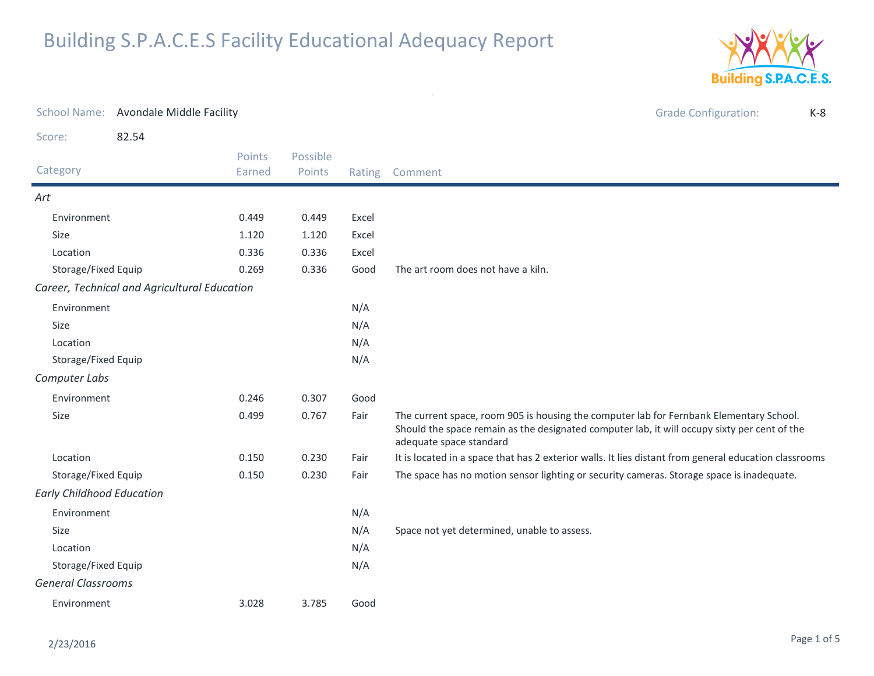

| <b>School Name:</b>              | Avondale Middle Facility                     |                  |                    |        | <b>Grade Configuration:</b><br>$K-8$                                                                                                                                                                               |
|----------------------------------|----------------------------------------------|------------------|--------------------|--------|--------------------------------------------------------------------------------------------------------------------------------------------------------------------------------------------------------------------|
| Score:                           | 82.54                                        |                  |                    |        |                                                                                                                                                                                                                    |
| Category                         |                                              | Points<br>Earned | Possible<br>Points | Rating | Comment                                                                                                                                                                                                            |
| Art                              |                                              |                  |                    |        |                                                                                                                                                                                                                    |
| Environment                      |                                              | 0.449            | 0.449              | Excel  |                                                                                                                                                                                                                    |
| Size                             |                                              | 1.120            | 1.120              | Excel  |                                                                                                                                                                                                                    |
| Location                         |                                              | 0.336            | 0.336              | Excel  |                                                                                                                                                                                                                    |
| Storage/Fixed Equip              |                                              | 0.269            | 0.336              | Good   | The art room does not have a kiln.                                                                                                                                                                                 |
|                                  | Career, Technical and Agricultural Education |                  |                    |        |                                                                                                                                                                                                                    |
| Environment                      |                                              |                  |                    | N/A    |                                                                                                                                                                                                                    |
| Size                             |                                              |                  |                    | N/A    |                                                                                                                                                                                                                    |
| Location                         |                                              |                  |                    | N/A    |                                                                                                                                                                                                                    |
| Storage/Fixed Equip              |                                              |                  |                    | N/A    |                                                                                                                                                                                                                    |
| Computer Labs                    |                                              |                  |                    |        |                                                                                                                                                                                                                    |
| Environment                      |                                              | 0.246            | 0.307              | Good   |                                                                                                                                                                                                                    |
| Size                             |                                              | 0.499            | 0.767              | Fair   | The current space, room 905 is housing the computer lab for Fernbank Elementary School.<br>Should the space remain as the designated computer lab, it will occupy sixty per cent of the<br>adequate space standard |
| Location                         |                                              | 0.150            | 0.230              | Fair   | It is located in a space that has 2 exterior walls. It lies distant from general education classrooms                                                                                                              |
| Storage/Fixed Equip              |                                              | 0.150            | 0.230              | Fair   | The space has no motion sensor lighting or security cameras. Storage space is inadequate.                                                                                                                          |
| <b>Early Childhood Education</b> |                                              |                  |                    |        |                                                                                                                                                                                                                    |
| Environment                      |                                              |                  |                    | N/A    |                                                                                                                                                                                                                    |
| Size                             |                                              |                  |                    | N/A    | Space not yet determined, unable to assess.                                                                                                                                                                        |
| Location                         |                                              |                  | N/A                |        |                                                                                                                                                                                                                    |
| Storage/Fixed Equip              |                                              | N/A              |                    |        |                                                                                                                                                                                                                    |
| <b>General Classrooms</b>        |                                              |                  |                    |        |                                                                                                                                                                                                                    |
| Environment                      |                                              | 3.028            | 3.785              | Good   |                                                                                                                                                                                                                    |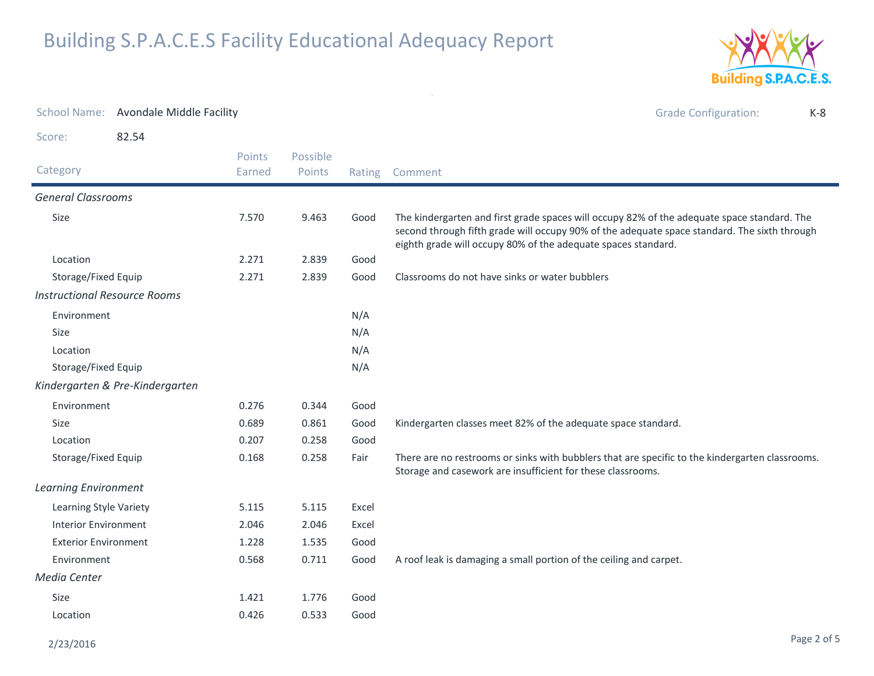

| School Name: Avondale Middle Facility |                                 |                  |                    |        | <b>Grade Configuration:</b><br>$K-8$                                                                                                                                                                                                                         |
|---------------------------------------|---------------------------------|------------------|--------------------|--------|--------------------------------------------------------------------------------------------------------------------------------------------------------------------------------------------------------------------------------------------------------------|
| Score:                                | 82.54                           |                  |                    |        |                                                                                                                                                                                                                                                              |
| Category                              |                                 | Points<br>Earned | Possible<br>Points | Rating | Comment                                                                                                                                                                                                                                                      |
| <b>General Classrooms</b>             |                                 |                  |                    |        |                                                                                                                                                                                                                                                              |
| Size                                  |                                 | 7.570            | 9.463              | Good   | The kindergarten and first grade spaces will occupy 82% of the adequate space standard. The<br>second through fifth grade will occupy 90% of the adequate space standard. The sixth through<br>eighth grade will occupy 80% of the adequate spaces standard. |
| Location                              |                                 | 2.271            | 2.839              | Good   |                                                                                                                                                                                                                                                              |
| Storage/Fixed Equip                   |                                 | 2.271            | 2.839              | Good   | Classrooms do not have sinks or water bubblers                                                                                                                                                                                                               |
| <b>Instructional Resource Rooms</b>   |                                 |                  |                    |        |                                                                                                                                                                                                                                                              |
| Environment                           |                                 |                  |                    | N/A    |                                                                                                                                                                                                                                                              |
| <b>Size</b>                           |                                 |                  |                    | N/A    |                                                                                                                                                                                                                                                              |
| Location                              |                                 |                  |                    | N/A    |                                                                                                                                                                                                                                                              |
| Storage/Fixed Equip                   |                                 |                  |                    | N/A    |                                                                                                                                                                                                                                                              |
|                                       | Kindergarten & Pre-Kindergarten |                  |                    |        |                                                                                                                                                                                                                                                              |
| Environment                           |                                 | 0.276            | 0.344              | Good   |                                                                                                                                                                                                                                                              |
| Size                                  |                                 | 0.689            | 0.861              | Good   | Kindergarten classes meet 82% of the adequate space standard.                                                                                                                                                                                                |
| Location                              |                                 | 0.207            | 0.258              | Good   |                                                                                                                                                                                                                                                              |
| Storage/Fixed Equip                   |                                 | 0.168            | 0.258              | Fair   | There are no restrooms or sinks with bubblers that are specific to the kindergarten classrooms.<br>Storage and casework are insufficient for these classrooms.                                                                                               |
| <b>Learning Environment</b>           |                                 |                  |                    |        |                                                                                                                                                                                                                                                              |
| Learning Style Variety                |                                 | 5.115            | 5.115              | Excel  |                                                                                                                                                                                                                                                              |
| <b>Interior Environment</b>           |                                 | 2.046            | 2.046              | Excel  |                                                                                                                                                                                                                                                              |
| <b>Exterior Environment</b>           |                                 | 1.228            | 1.535              | Good   |                                                                                                                                                                                                                                                              |
| Environment                           |                                 | 0.568            | 0.711              | Good   | A roof leak is damaging a small portion of the ceiling and carpet.                                                                                                                                                                                           |
| Media Center                          |                                 |                  |                    |        |                                                                                                                                                                                                                                                              |
| Size                                  |                                 | 1.421            | 1.776              | Good   |                                                                                                                                                                                                                                                              |
| Location                              |                                 | 0.426            | 0.533              | Good   |                                                                                                                                                                                                                                                              |

 $\sim$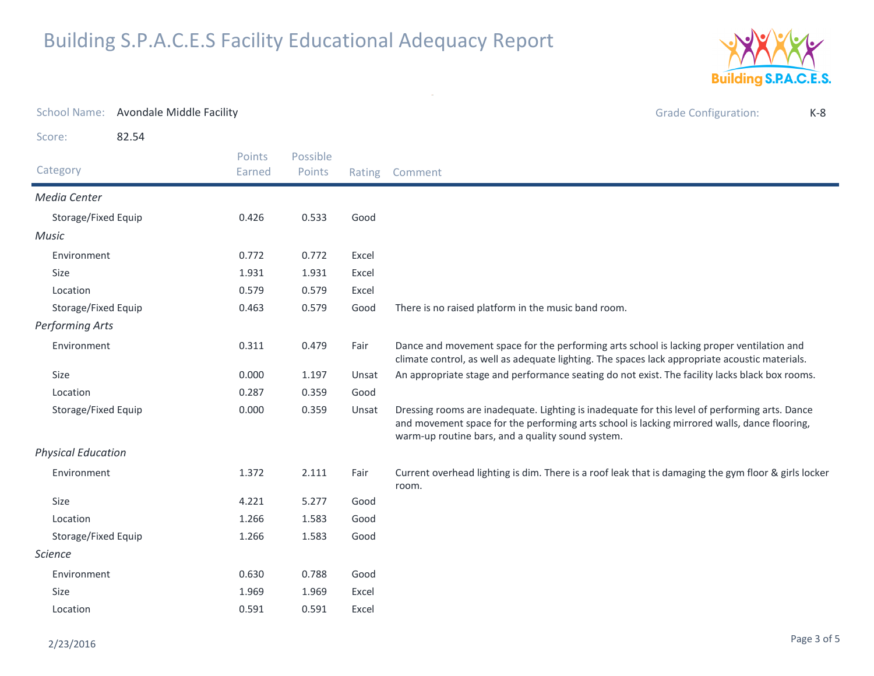

| School Name: Avondale Middle Facility |       |                  |                    |        | <b>Grade Configuration:</b><br>$K-8$                                                                                                                                                                                                                |
|---------------------------------------|-------|------------------|--------------------|--------|-----------------------------------------------------------------------------------------------------------------------------------------------------------------------------------------------------------------------------------------------------|
| Score:                                | 82.54 |                  |                    |        |                                                                                                                                                                                                                                                     |
| Category                              |       | Points<br>Earned | Possible<br>Points | Rating | Comment                                                                                                                                                                                                                                             |
| Media Center                          |       |                  |                    |        |                                                                                                                                                                                                                                                     |
| Storage/Fixed Equip                   |       | 0.426            | 0.533              | Good   |                                                                                                                                                                                                                                                     |
| <b>Music</b>                          |       |                  |                    |        |                                                                                                                                                                                                                                                     |
| Environment                           |       | 0.772            | 0.772              | Excel  |                                                                                                                                                                                                                                                     |
| Size                                  |       | 1.931            | 1.931              | Excel  |                                                                                                                                                                                                                                                     |
| Location                              |       | 0.579            | 0.579              | Excel  |                                                                                                                                                                                                                                                     |
| Storage/Fixed Equip                   |       | 0.463            | 0.579              | Good   | There is no raised platform in the music band room.                                                                                                                                                                                                 |
| <b>Performing Arts</b>                |       |                  |                    |        |                                                                                                                                                                                                                                                     |
| Environment                           |       | 0.311            | 0.479              | Fair   | Dance and movement space for the performing arts school is lacking proper ventilation and<br>climate control, as well as adequate lighting. The spaces lack appropriate acoustic materials.                                                         |
| Size                                  |       | 0.000            | 1.197              | Unsat  | An appropriate stage and performance seating do not exist. The facility lacks black box rooms.                                                                                                                                                      |
| Location                              |       | 0.287            | 0.359              | Good   |                                                                                                                                                                                                                                                     |
| Storage/Fixed Equip                   |       | 0.000            | 0.359              | Unsat  | Dressing rooms are inadequate. Lighting is inadequate for this level of performing arts. Dance<br>and movement space for the performing arts school is lacking mirrored walls, dance flooring,<br>warm-up routine bars, and a quality sound system. |
| <b>Physical Education</b>             |       |                  |                    |        |                                                                                                                                                                                                                                                     |
| Environment                           |       | 1.372            | 2.111              | Fair   | Current overhead lighting is dim. There is a roof leak that is damaging the gym floor & girls locker<br>room.                                                                                                                                       |
| Size                                  |       | 4.221            | 5.277              | Good   |                                                                                                                                                                                                                                                     |
| Location                              |       | 1.266            | 1.583              | Good   |                                                                                                                                                                                                                                                     |
| Storage/Fixed Equip                   |       | 1.266            | 1.583              | Good   |                                                                                                                                                                                                                                                     |
| <b>Science</b>                        |       |                  |                    |        |                                                                                                                                                                                                                                                     |
| Environment                           |       | 0.630            | 0.788              | Good   |                                                                                                                                                                                                                                                     |
| <b>Size</b>                           |       | 1.969            | 1.969              | Excel  |                                                                                                                                                                                                                                                     |
| Location                              |       | 0.591            | 0.591              | Excel  |                                                                                                                                                                                                                                                     |

 $\sim$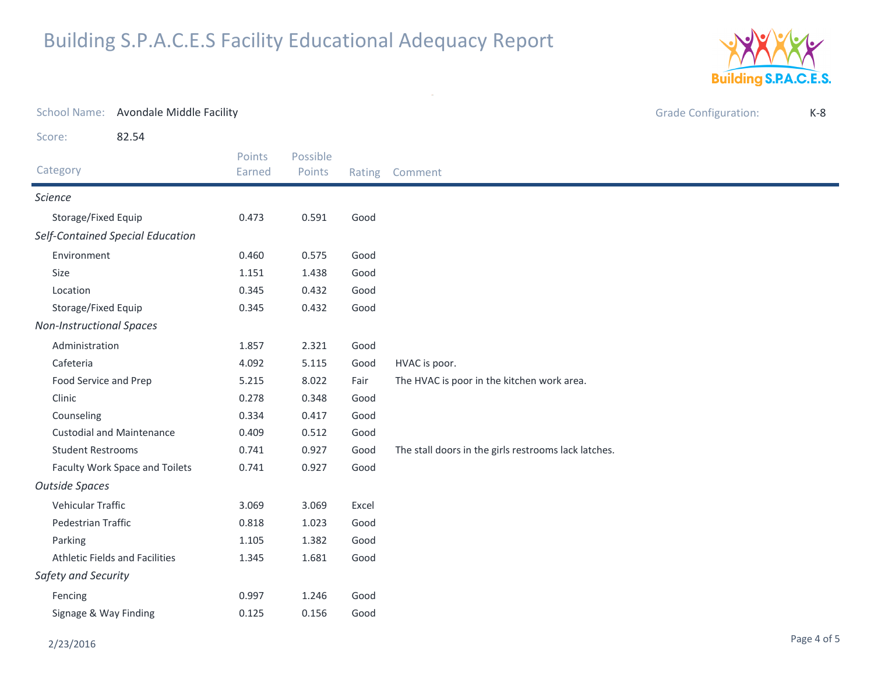

| School Name: Avondale Middle Facility |                  | <b>Grade Configuration:</b> |        |                                                      |  |  |
|---------------------------------------|------------------|-----------------------------|--------|------------------------------------------------------|--|--|
| 82.54<br>Score:                       |                  |                             |        |                                                      |  |  |
| Category                              | Points<br>Earned | Possible<br>Points          | Rating | Comment                                              |  |  |
| Science                               |                  |                             |        |                                                      |  |  |
| Storage/Fixed Equip                   | 0.473            | 0.591                       | Good   |                                                      |  |  |
| Self-Contained Special Education      |                  |                             |        |                                                      |  |  |
| Environment                           | 0.460            | 0.575                       | Good   |                                                      |  |  |
| Size                                  | 1.151            | 1.438                       | Good   |                                                      |  |  |
| Location                              | 0.345            | 0.432                       | Good   |                                                      |  |  |
| Storage/Fixed Equip                   | 0.345            | 0.432                       | Good   |                                                      |  |  |
| <b>Non-Instructional Spaces</b>       |                  |                             |        |                                                      |  |  |
| Administration                        | 1.857            | 2.321                       | Good   |                                                      |  |  |
| Cafeteria                             | 4.092            | 5.115                       | Good   | HVAC is poor.                                        |  |  |
| Food Service and Prep                 | 5.215            | 8.022                       | Fair   | The HVAC is poor in the kitchen work area.           |  |  |
| Clinic                                | 0.278            | 0.348                       | Good   |                                                      |  |  |
| Counseling                            | 0.334            | 0.417                       | Good   |                                                      |  |  |
| <b>Custodial and Maintenance</b>      | 0.409            | 0.512                       | Good   |                                                      |  |  |
| <b>Student Restrooms</b>              | 0.741            | 0.927                       | Good   | The stall doors in the girls restrooms lack latches. |  |  |
| Faculty Work Space and Toilets        | 0.741            | 0.927                       | Good   |                                                      |  |  |
| <b>Outside Spaces</b>                 |                  |                             |        |                                                      |  |  |
| Vehicular Traffic                     | 3.069            | 3.069                       | Excel  |                                                      |  |  |
| Pedestrian Traffic                    | 0.818            | 1.023                       | Good   |                                                      |  |  |
| Parking                               | 1.105            | 1.382                       | Good   |                                                      |  |  |
| Athletic Fields and Facilities        | 1.345            | 1.681                       | Good   |                                                      |  |  |
| Safety and Security                   |                  |                             |        |                                                      |  |  |
| Fencing                               | 0.997            | 1.246                       | Good   |                                                      |  |  |
| Signage & Way Finding                 | 0.125            | 0.156                       | Good   |                                                      |  |  |

 $\mathcal{L}^{\mathcal{L}}$  and  $\mathcal{L}^{\mathcal{L}}$  and  $\mathcal{L}^{\mathcal{L}}$ 

#### 2/23/2016